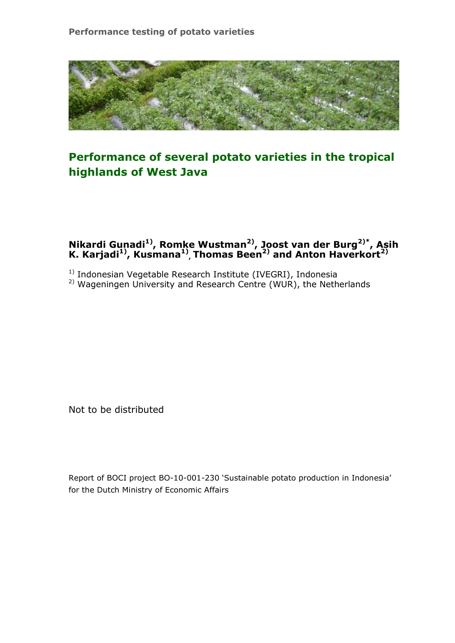

# **Performance of several potato varieties in the tropical highlands of West Java**

# **Nikardi Gunadi1) , Romke Wustman2), Joost van der Burg2)\* , Asih K. Karjadi1) , Kusmana1) , Thomas Been2) and Anton Haverkort2)**

<sup>1)</sup> Indonesian Vegetable Research Institute (IVEGRI), Indonesia

 $^{2)}$  Wageningen University and Research Centre (WUR), the Netherlands

Not to be distributed

Report of BOCI project BO-10-001-230 'Sustainable potato production in Indonesia' for the Dutch Ministry of Economic Affairs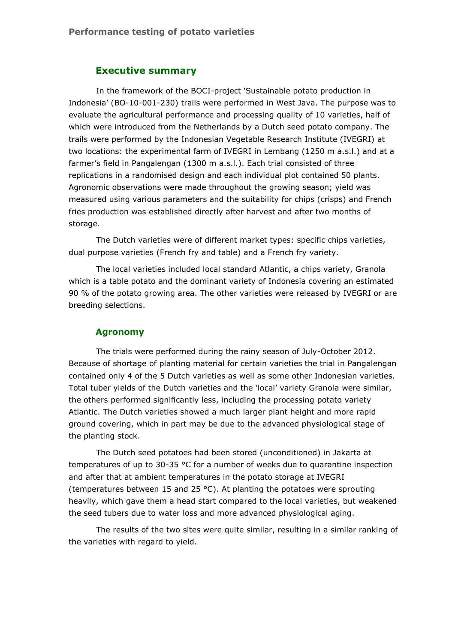### **Executive summary**

In the framework of the BOCI-project 'Sustainable potato production in Indonesia' (BO-10-001-230) trails were performed in West Java. The purpose was to evaluate the agricultural performance and processing quality of 10 varieties, half of which were introduced from the Netherlands by a Dutch seed potato company. The trails were performed by the Indonesian Vegetable Research Institute (IVEGRI) at two locations: the experimental farm of IVEGRI in Lembang (1250 m a.s.l.) and at a farmer's field in Pangalengan (1300 m a.s.l.). Each trial consisted of three replications in a randomised design and each individual plot contained 50 plants. Agronomic observations were made throughout the growing season; yield was measured using various parameters and the suitability for chips (crisps) and French fries production was established directly after harvest and after two months of storage.

The Dutch varieties were of different market types: specific chips varieties, dual purpose varieties (French fry and table) and a French fry variety.

The local varieties included local standard Atlantic, a chips variety, Granola which is a table potato and the dominant variety of Indonesia covering an estimated 90 % of the potato growing area. The other varieties were released by IVEGRI or are breeding selections.

#### **Agronomy**

The trials were performed during the rainy season of July-October 2012. Because of shortage of planting material for certain varieties the trial in Pangalengan contained only 4 of the 5 Dutch varieties as well as some other Indonesian varieties. Total tuber yields of the Dutch varieties and the 'local' variety Granola were similar, the others performed significantly less, including the processing potato variety Atlantic. The Dutch varieties showed a much larger plant height and more rapid ground covering, which in part may be due to the advanced physiological stage of the planting stock.

The Dutch seed potatoes had been stored (unconditioned) in Jakarta at temperatures of up to 30-35 °C for a number of weeks due to quarantine inspection and after that at ambient temperatures in the potato storage at IVEGRI (temperatures between 15 and 25 °C). At planting the potatoes were sprouting heavily, which gave them a head start compared to the local varieties, but weakened the seed tubers due to water loss and more advanced physiological aging.

The results of the two sites were quite similar, resulting in a similar ranking of the varieties with regard to yield.